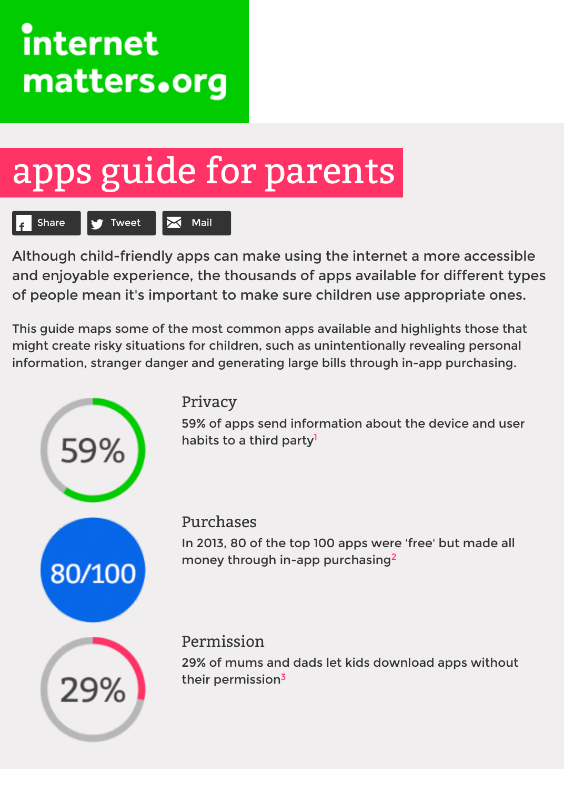# apps [guide](http://www.internetmatters.org/) for parents



Although child-friendly apps can make using the internet a more acce and enjoyable experience, the thousands of apps available for differer of people mean it's important to make sure children use appropriate on

This guide maps some of the most common apps available and highlights those might create risky situations for children, such as unintentionally revealing pers [information, stranger da](http://www.internetmatters.org/technologies/apps.html#)[nger and ge](mailto:?subject=)nerating large bills through in-app purchas



#### Privacy

59% of apps send information about the device and habits to a third party<sup>1</sup>

#### Purchases

In 2013, 80 of the top 100 apps were 'free' but made money through in-app purchasing<sup>2</sup>

#### Permission

29% of mums and dads let kids download apps with their permission<sup>3</sup>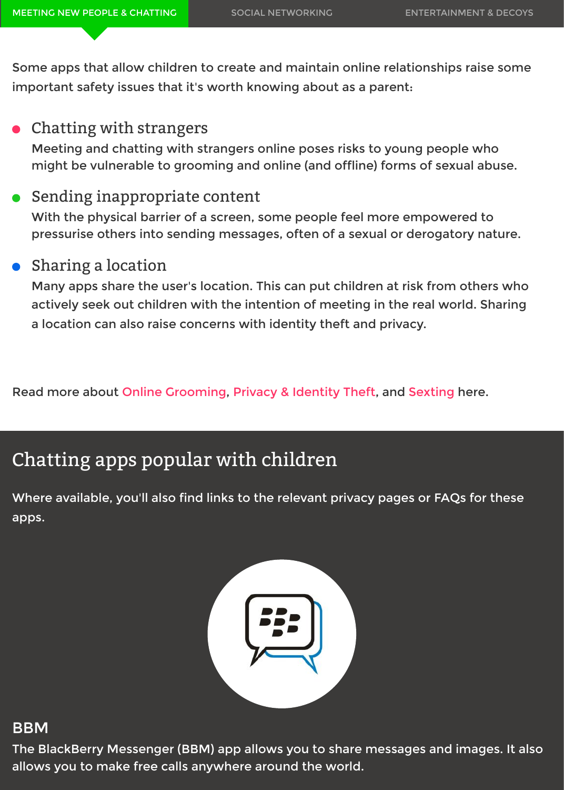Meeting and chatting with strangers online poses risks to young people who [might be vulnerable to gr](http://www.internetmatters.org/technologies/apps.html#meeting-new-people-chatting)[ooming and online \(and offline\)](http://www.internetmatters.org/technologies/apps.html#social-networking) forms of sexual ab

### Sending inappropriate content

With the physical barrier of a screen, some people feel more empowered to pressurise others into sending messages, often of a sexual or derogatory nature.

#### Sharing a location

Many apps share the user's location. This can put children at risk from others actively seek out children with the intention of meeting in the real world. Sharing a location can also raise concerns with identity theft and privacy.

Read more about Online Grooming, Privacy & Identity Theft, and Sexting here.

## Chatting apps popular with children

Where available, you'll also find links to the relevant privacy pages or FAQs for t apps.



#### BBM

The BlackBerry Messenger (BBM) app allows you to share messages and image allows you to make free calls anywhere around the world.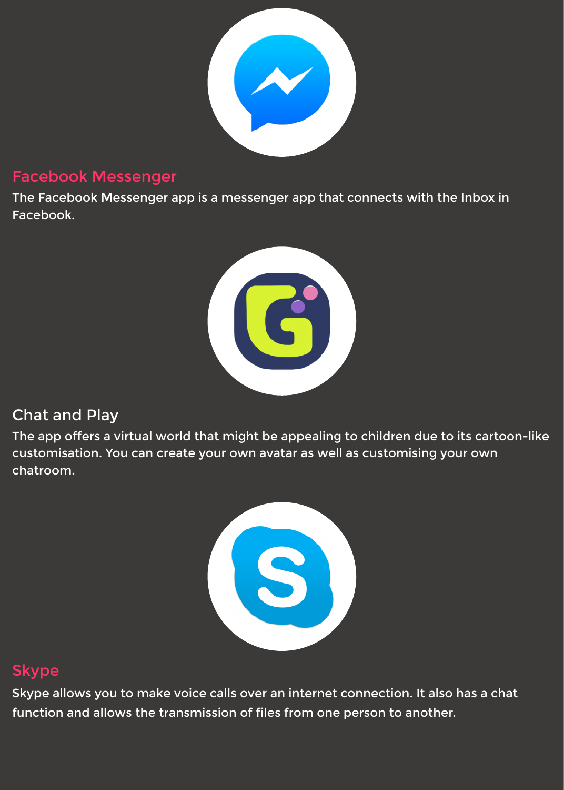#### Facebook Messenger

The Facebook Messenger app is a [messenger app tha](https://www.facebook.com/safety/)t connects with the Inbox Facebook.



#### Chat and Play

The app offers a virtual world that might be appealing to children due to its car customisation. You can create your own avatar as well as customising your own chatroom.



#### **Skype**

Skype allows you to make voice ca[lls over an internet](https://support.skype.com/en/faq/FA10548/what-security-measures-do-you-have-in-place-to-help-protect-children-on-skype) connection. It also has a d function and allows the transmission of files from one person to another.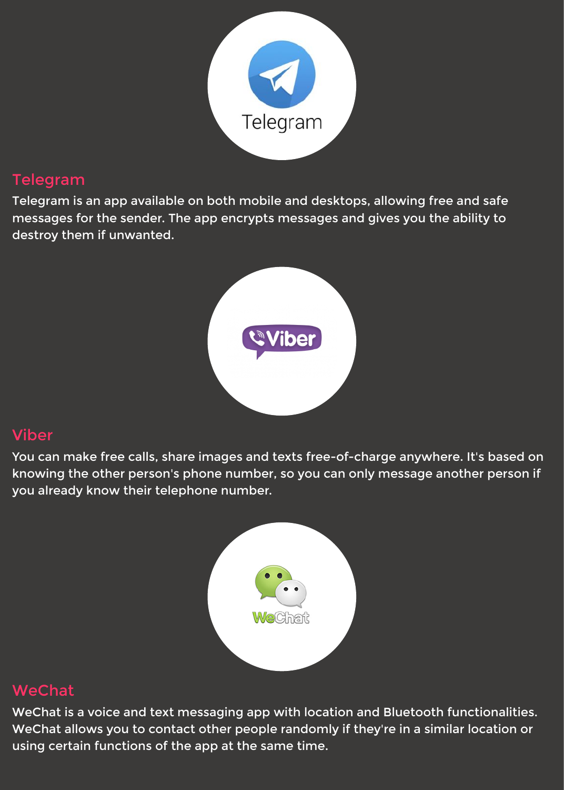#### Telegram

Telegram is an app available on bo[th mobile and desk](https://telegram.org/faq#security)tops, allowing free and sa messages for the sender. The app encrypts messages and gives you the ability destroy them if unwanted.



#### Viber

You can make free calls, share ima[ges and texts free-o](http://www.viber.com/privacypolicy.html)f-charge anywhere. It's b knowing the other person's phone number, so you can only message another person is you already know their telephone number.



#### WeChat

WeChat is a voice and text messag[ing app with locati](http://www.wechat.com/en/faq.html#iphone)on and Bluetooth functior WeChat allows you to contact other people randomly if they're in a similar locat using certain functions of the app at the same time.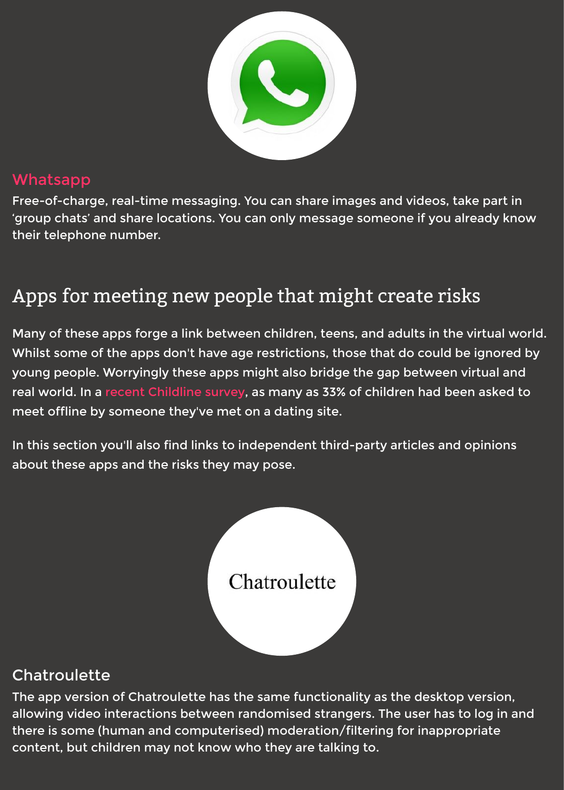#### Whatsapp

Free-of-charge, real-time messaging. You can share images and videos, take pa 'group chats' and share locations. You can only message someone if you alread their telephone number.

# Apps for meeting new p[eople that m](http://www.whatsapp.com/faq/en/general/21864047)ight create risks

[Many of thes](http://www.whatsapp.com/faq/en/general/21864047)e apps forge a link between children, teens, and adults in the virtu Whilst some of the apps don't have age restrictions, those that do could be igne young people. Worryingly these apps might also bridge the gap between virtual real world. In a recent Childline survey, as many as 33% of children had been as meet offline by someone they've met on a dating site.

In this section you'll also find links to independent third-party articles and opini about these apps and the risks they may pose.



#### **Chatroulette**

The app version of Chatroulette has the same functionality as the desktop vers allowing video interactions between randomised strangers. The user has to log there is some (human and computerised) moderation/filtering for inappropriat content, but children may not know who they are talking to.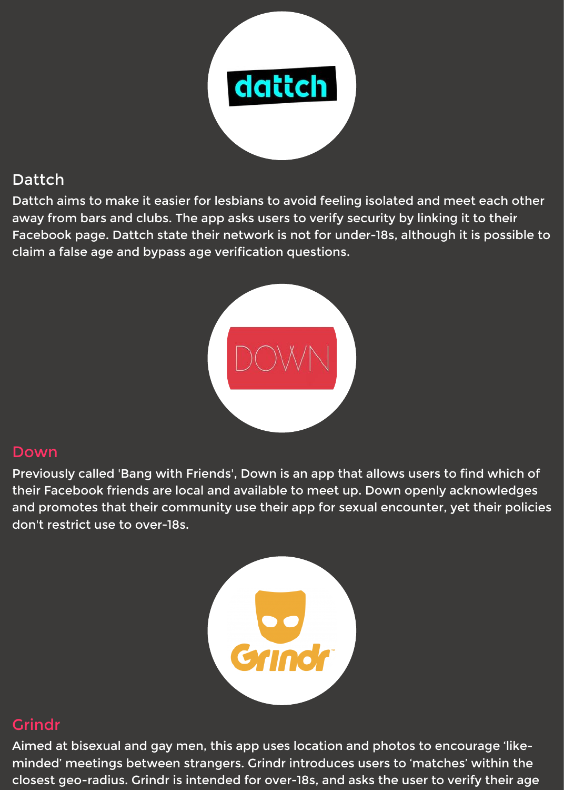#### Dattch

Dattch aims to make it easier for lesbians to avoid feeling isolated and meet ea away from bars and clubs. The app asks users to verify security by linking it to t Facebook page. Dattch state their network is not for under-18s, although it is possible to claim a false age and bypass age verification questions.



#### Down

Previously called 'Bang with Friend[s', Down is an app](http://www.digitalkidsinitiative.com/files/2013/04/Bang_With_Friends-TrendAlert-2Page.pdf) that allows users to find w their Facebook friends are local and available to meet up. Down openly acknow and promotes that their community use their app for sexual encounter, yet the don't restrict use to over-18s.



#### **Grindr**

Aimed at bisexual and gay men, thi[s app uses location](http://www.metroweekly.com/2014/02/british-grindr-users-warned-to/) and photos to encourage minded' meetings between strangers. Grindr introduces users to 'matches' with closest geo-radius. Grindr is intended for over-18s, and asks the user to verify th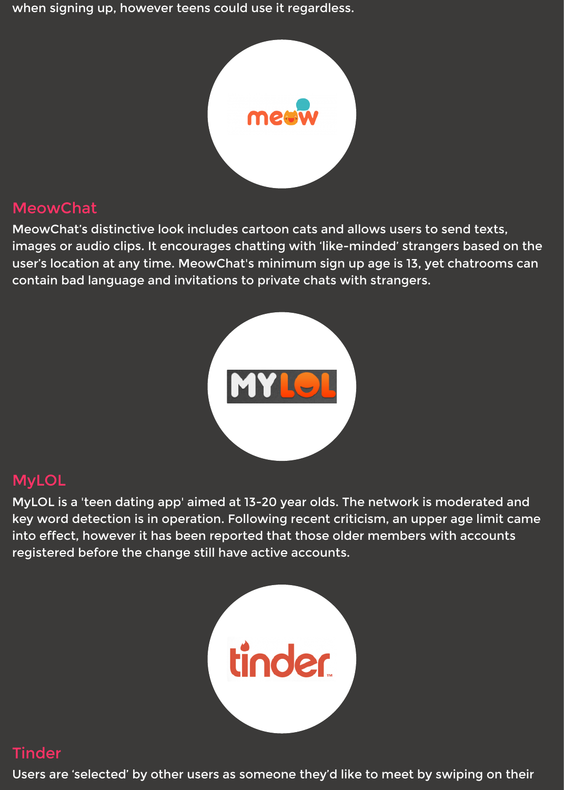#### MeowChat

MeowChat's distinctive look includ[es cartoon cats and](http://www.independent.co.uk/life-style/gadgets-and-tech/what-is-meowchat-new-messaging-app-combines-tinder-and-whatsapp--but-is-it-safe-9634576.html) allows users to send texts, images or audio clips. It encourages chatting with 'like-minded' strangers based user's location at any time. MeowChat's minimum sign up age is 13, yet chatroo contain bad language and invitations to private chats with strangers.



#### MyLOL

MyLOL is a 'teen dating app' aimed [at 13-20 year olds.](http://www.mirror.co.uk/news/uk-news/mylolcom-teen-dating-website-playground-3103803) The network is moderate key word detection is in operation. Following recent criticism, an upper age lim into effect, however it has been reported that those older members with accou registered before the change still have active accounts.



#### **Tinder**

Users are 'selected' by other users [as someone they'd](http://www.independent.co.uk/voices/comment/tinder-isnt-for-teens-so-why-are-so-many-using-the-app-9152087.html) like to meet by swiping o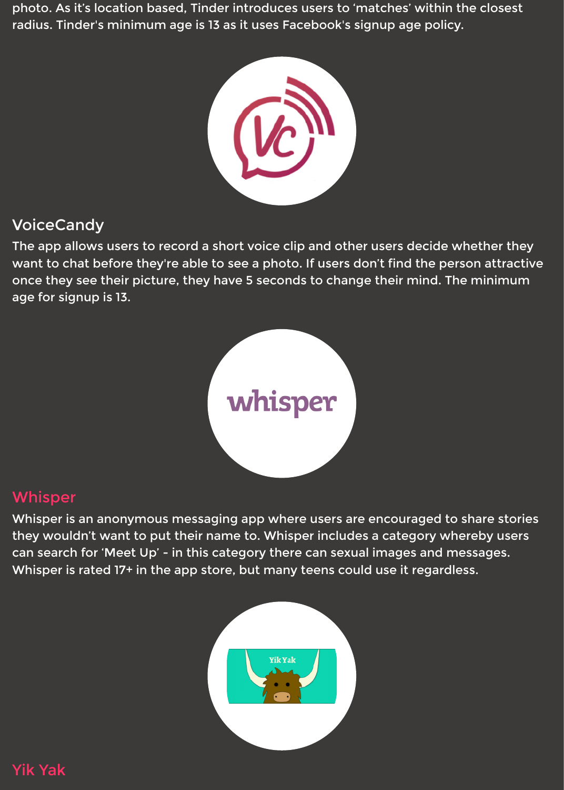

#### VoiceCandy

The app allows users to record a short voice clip and other users decide whether want to chat before they're able to see a photo. If users don't find the person at once they see their picture, they have 5 seconds to change their mind. The min age for signup is 13.



#### Whisper

Whisper is an anonymous messagi[ng app where users](http://www.huffingtonpost.com/lindsey-saletta/the-internets-newest-time-suck-whisper-app_b_4731943.html) are encouraged to share they wouldn't want to put their name to. Whisper includes a category whereby can search for 'Meet Up' - in this category there can sexual images and messag Whisper is rated 17+ in the app store, but many teens could use it regardless.



Yik Yak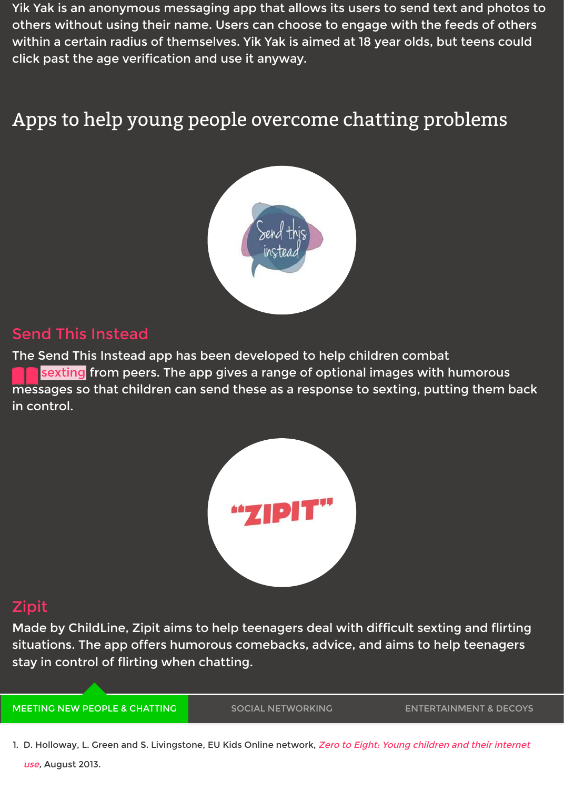

#### Send This Instead

The Send This Instead app has bee[n developed to hel](http://sendthisinstead.com/)p children combat <mark>sexting</mark> from peers. The app gives a range of optional images with humoro messages so that children can send these as a response to sexting, putting the in control.



#### Zipit

Made by ChildLine, Zipit aims to h[elp teenagers deal w](http://www.childline.org.uk/Play/GetInvolved/Pages/sexting-zipit-app.aspx)ith difficult sexting and f situations. The app offers humorous comebacks, advice, and aims to help teena stay in control of flirting when chatting.

MEETING NEW PEOPLE & CHATTING

SOCIAL NETWORKING ENTERTAINMENT &

[1. D. Ho](http://www.childline.org.uk/Play/GetInvolved/Pages/sexting-zipit-app.aspx)lloway, L. Green and S. Livingstone, EU Kids Online network, Zero to Eight: Young children and their use, August 2013.